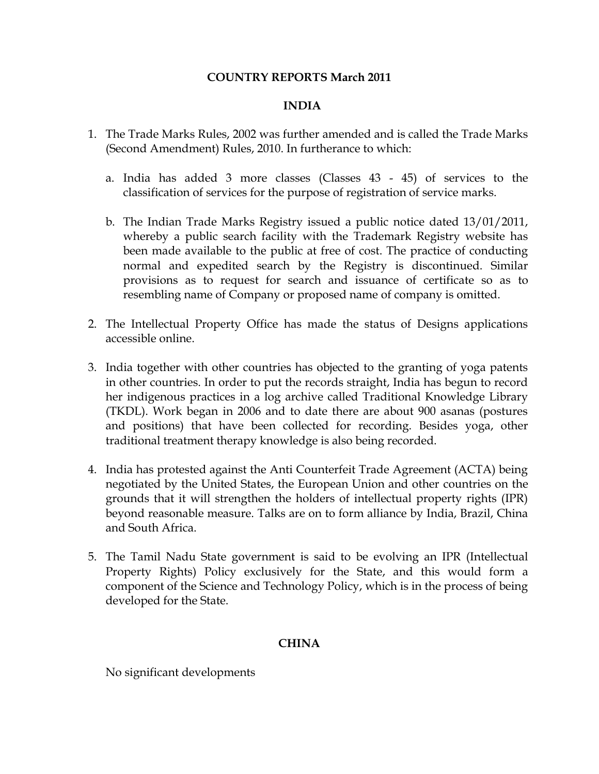### **COUNTRY REPORTS March 2011**

#### **INDIA**

- 1. The Trade Marks Rules, 2002 was further amended and is called the Trade Marks (Second Amendment) Rules, 2010. In furtherance to which:
	- a. India has added 3 more classes (Classes 43 45) of services to the classification of services for the purpose of registration of service marks.
	- b. The Indian Trade Marks Registry issued a public notice dated 13/01/2011, whereby a public search facility with the Trademark Registry website has been made available to the public at free of cost. The practice of conducting normal and expedited search by the Registry is discontinued. Similar provisions as to request for search and issuance of certificate so as to resembling name of Company or proposed name of company is omitted.
- 2. The Intellectual Property Office has made the status of Designs applications accessible online.
- 3. India together with other countries has objected to the granting of yoga patents in other countries. In order to put the records straight, India has begun to record her indigenous practices in a log archive called Traditional Knowledge Library (TKDL). Work began in 2006 and to date there are about 900 asanas (postures and positions) that have been collected for recording. Besides yoga, other traditional treatment therapy knowledge is also being recorded.
- 4. India has protested against the Anti Counterfeit Trade Agreement (ACTA) being negotiated by the United States, the European Union and other countries on the grounds that it will strengthen the holders of intellectual property rights (IPR) beyond reasonable measure. Talks are on to form alliance by India, Brazil, China and South Africa.
- 5. The Tamil Nadu State government is said to be evolving an IPR (Intellectual Property Rights) Policy exclusively for the State, and this would form a component of the Science and Technology Policy, which is in the process of being developed for the State.

## **CHINA**

No significant developments